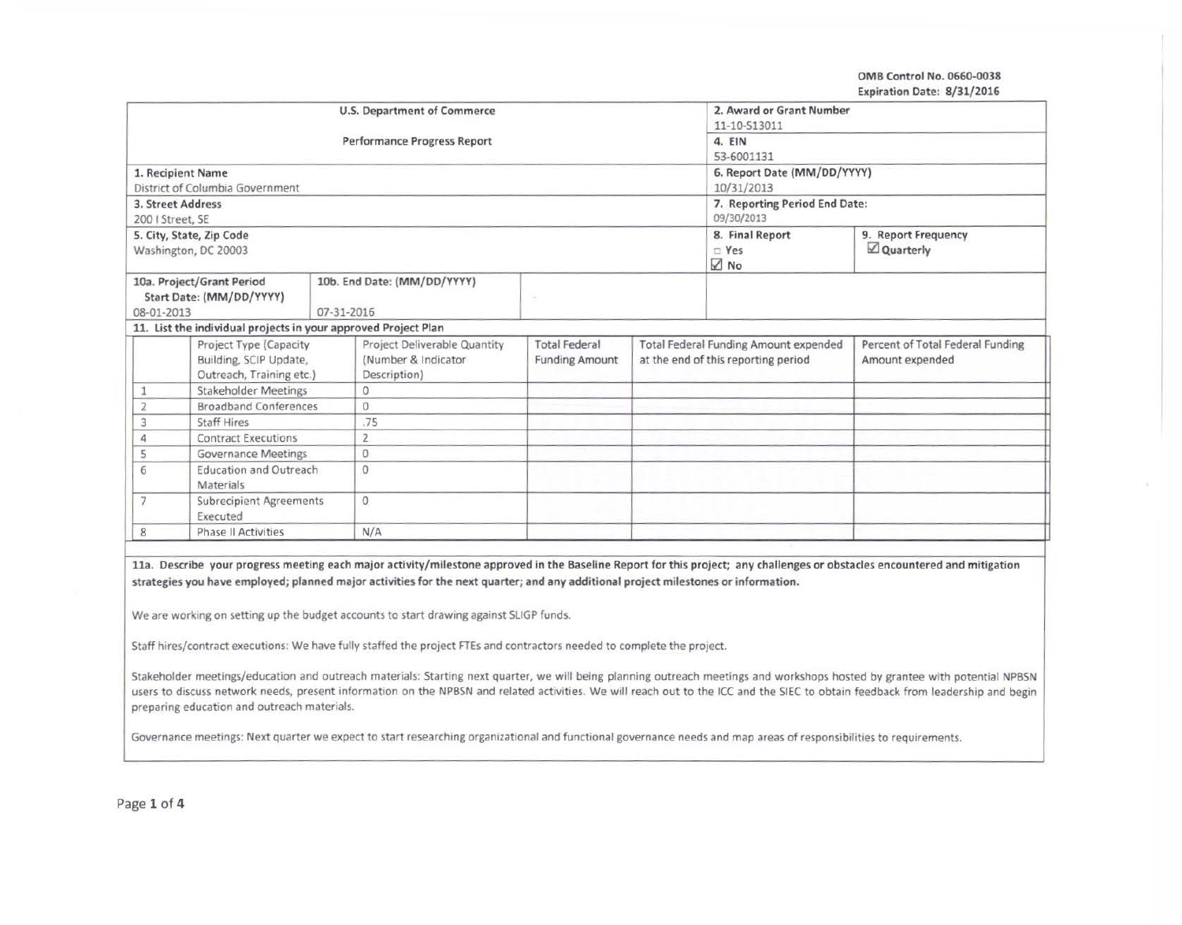OMB Control No. 0660-0038 Expiration Date: 8/31/2016

| <b>U.S. Department of Commerce</b>                                                                               |                                                                |  |                                     |                       |                                     | 2. Award or Grant Number<br>11-10-S13011     |                                  |  |  |
|------------------------------------------------------------------------------------------------------------------|----------------------------------------------------------------|--|-------------------------------------|-----------------------|-------------------------------------|----------------------------------------------|----------------------------------|--|--|
| <b>Performance Progress Report</b>                                                                               |                                                                |  |                                     |                       |                                     | 4. EIN                                       |                                  |  |  |
|                                                                                                                  |                                                                |  |                                     |                       |                                     | 53-6001131                                   |                                  |  |  |
| 1. Recipient Name                                                                                                |                                                                |  |                                     |                       |                                     | 6. Report Date (MM/DD/YYYY)                  |                                  |  |  |
| District of Columbia Government                                                                                  |                                                                |  |                                     |                       |                                     | 10/31/2013                                   |                                  |  |  |
| 3. Street Address                                                                                                |                                                                |  |                                     |                       |                                     | 7. Reporting Period End Date:                |                                  |  |  |
| 200   Street, SE                                                                                                 |                                                                |  |                                     |                       |                                     | 09/30/2013                                   |                                  |  |  |
|                                                                                                                  | 5. City, State, Zip Code<br>Washington, DC 20003               |  |                                     |                       |                                     | 8. Final Report<br>$R$ Yes<br>⊠ No           | 9. Report Frequency<br>Quarterly |  |  |
| 10a. Project/Grant Period<br>10b. End Date: (MM/DD/YYYY)<br>Start Date: (MM/DD/YYYY)<br>08-01-2013<br>07-31-2016 |                                                                |  |                                     |                       |                                     |                                              |                                  |  |  |
|                                                                                                                  | 11. List the individual projects in your approved Project Plan |  |                                     |                       |                                     |                                              |                                  |  |  |
|                                                                                                                  | Project Type (Capacity                                         |  | Project Deliverable Quantity        | <b>Total Federal</b>  |                                     | <b>Total Federal Funding Amount expended</b> | Percent of Total Federal Funding |  |  |
|                                                                                                                  | Building, SCIP Update,<br>Outreach, Training etc.)             |  | (Number & Indicator<br>Description) | <b>Funding Amount</b> | at the end of this reporting period |                                              | Amount expended                  |  |  |
|                                                                                                                  | <b>Stakeholder Meetings</b>                                    |  | $\Omega$                            |                       |                                     |                                              |                                  |  |  |
| $\overline{2}$                                                                                                   | <b>Broadband Conferences</b>                                   |  | $\mathbf{0}$                        |                       |                                     |                                              |                                  |  |  |
| 3                                                                                                                | <b>Staff Hires</b>                                             |  | .75                                 |                       |                                     |                                              |                                  |  |  |
| $\Delta$                                                                                                         | <b>Contract Executions</b>                                     |  | $\overline{2}$                      |                       |                                     |                                              |                                  |  |  |
| 5                                                                                                                | <b>Governance Meetings</b>                                     |  | $\Omega$                            |                       |                                     |                                              |                                  |  |  |
| 6                                                                                                                | <b>Education and Outreach</b><br>Materials                     |  | $\Omega$                            |                       |                                     |                                              |                                  |  |  |
| $\overline{7}$                                                                                                   | <b>Subrecipient Agreements</b><br>Executed                     |  | $\Omega$                            |                       |                                     |                                              |                                  |  |  |
| 8                                                                                                                | <b>Phase II Activities</b>                                     |  | N/A                                 |                       |                                     |                                              |                                  |  |  |

Staff hires/contract executions: We have fully staffed the project FTEs and contractors needed to complete the project.

Stakeholder meetings/education and outreach materials: Starting next quarter, we will being planning outreach meetings and workshops hosted by grantee with potential NPBSN users to discuss network needs, present information on the NPBSN and related activities. We will reach out to the ICC and the SIEC to obtain feedback from leadership and begin preparing education and outreach materials.

Governance meetings: Next quarter we expect to start researching organizational and functional governance needs and map areas of responsibilities to requirements.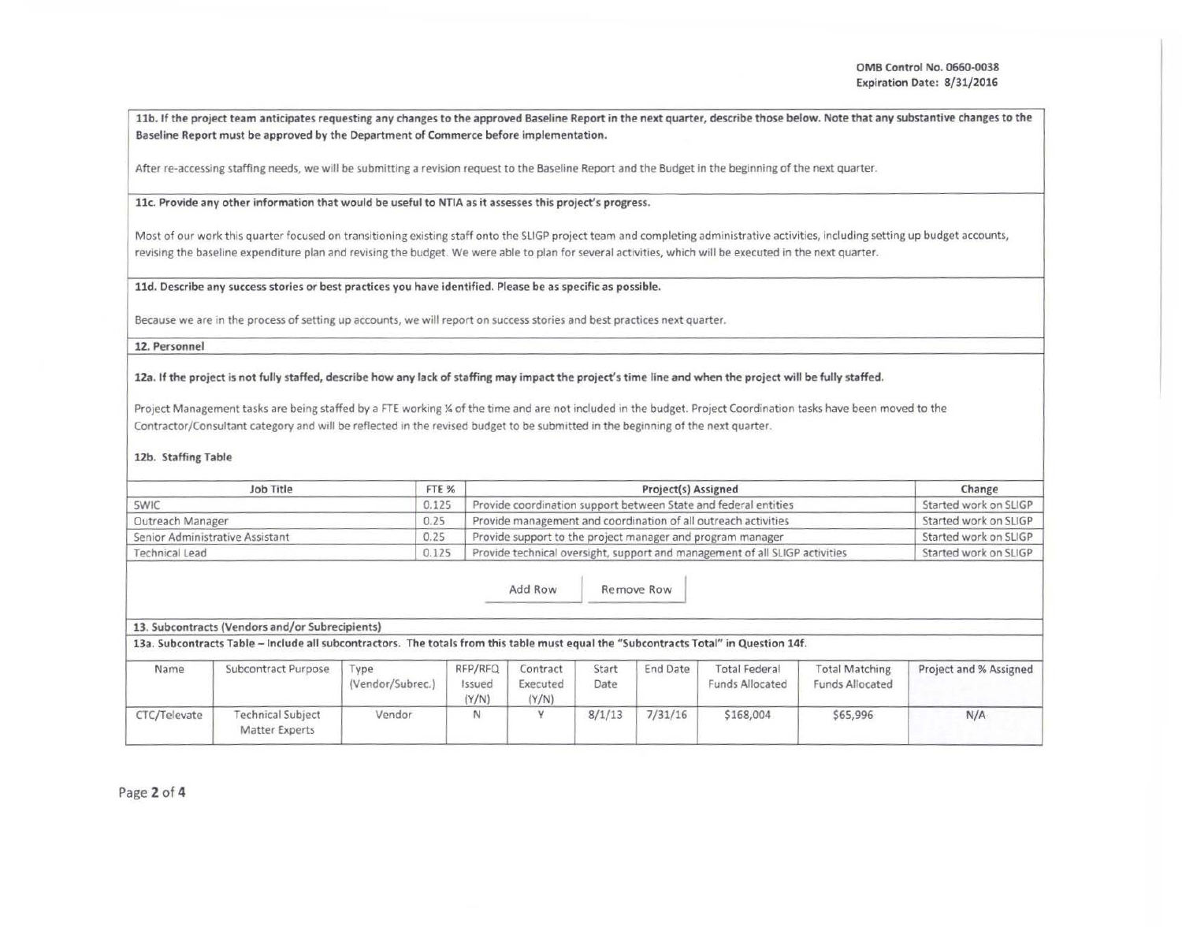11b. If the project team anticipates requesting any changes to the approved Baseline Report in the next quarter, describe those below. Note that any substantive changes to the Baseline Report must be approved by the Department of Commerce before implementation.

After re-accessing staffing needs, we will be submitting a revision request to the Baseline Report and the Budget in the beginning of the next quarter.

# llc. Provide any other information that would be useful to NTIA as it assesses this project's progress.

Most of our work this quarter focused on transitionlng existing staff onto the SUGP project team and completing administrative activities, including setting up budget accounts, revising the baseline expenditure plan and revising the budget. We were able to plan for several activities, which will be executed in the next quarter.

#### lld. Describe any success stories or best practices you have identified. Please be as specific as possible.

Because we are in the process of setting up accounts, we will report on success stories and best practices next quarter.

## 12. Personnel

12a. If the project is not fully staffed, describe how any lack of staffing may impact the project's time line and when the project will be fully staffed.

Project Management tasks are being staffed by a FTE working X of the time and are not included in the budget. Project Coordination tasks have been moved to the Contractor/Consultant category and will be reflected in the revised budget to be submitted in the beginning of the next quarter.

# 12b. Staffing Table

| Job Title                       | FTE % | Project(s) Assigned                                                         | Change                |
|---------------------------------|-------|-----------------------------------------------------------------------------|-----------------------|
| SWIC                            | 0.125 | Provide coordination support between State and federal entities             | Started work on SLIGP |
| Outreach Manager                | 0.25  | Provide management and coordination of all outreach activities              | Started work on SLIGP |
| Senior Administrative Assistant | 0.25  | Provide support to the project manager and program manager                  | Started work on SLIGP |
| Technical Lead                  | 0.125 | Provide technical oversight, support and management of all SLIGP activities | Started work on SLIGP |

Add Row Remove Row

# 13. Subcontracts (Vendors and/or Subrecipients)

13a. Subcontracts Table -Include all subcontractors. The totals from this table must equal the "Subcontracts Total" in Question 14f.

| Name         | Subcontract Purpose                               | Type<br>(Vendor/Subrec.) | RFP/RFQ<br>Issued<br>(Y/N) | Contract<br>Executed<br>(Y/N) | Start<br>Date | End Date | <b>Total Federal</b><br><b>Funds Allocated</b> | <b>Total Matching</b><br><b>Funds Allocated</b> | Project and % Assigned |
|--------------|---------------------------------------------------|--------------------------|----------------------------|-------------------------------|---------------|----------|------------------------------------------------|-------------------------------------------------|------------------------|
| CTC/Televate | <b>Technical Subject</b><br><b>Matter Experts</b> | Vendor                   |                            |                               | 8/1/13        | 7/31/16  | \$168,004                                      | \$65,996                                        | N/A                    |

Page 2 of 4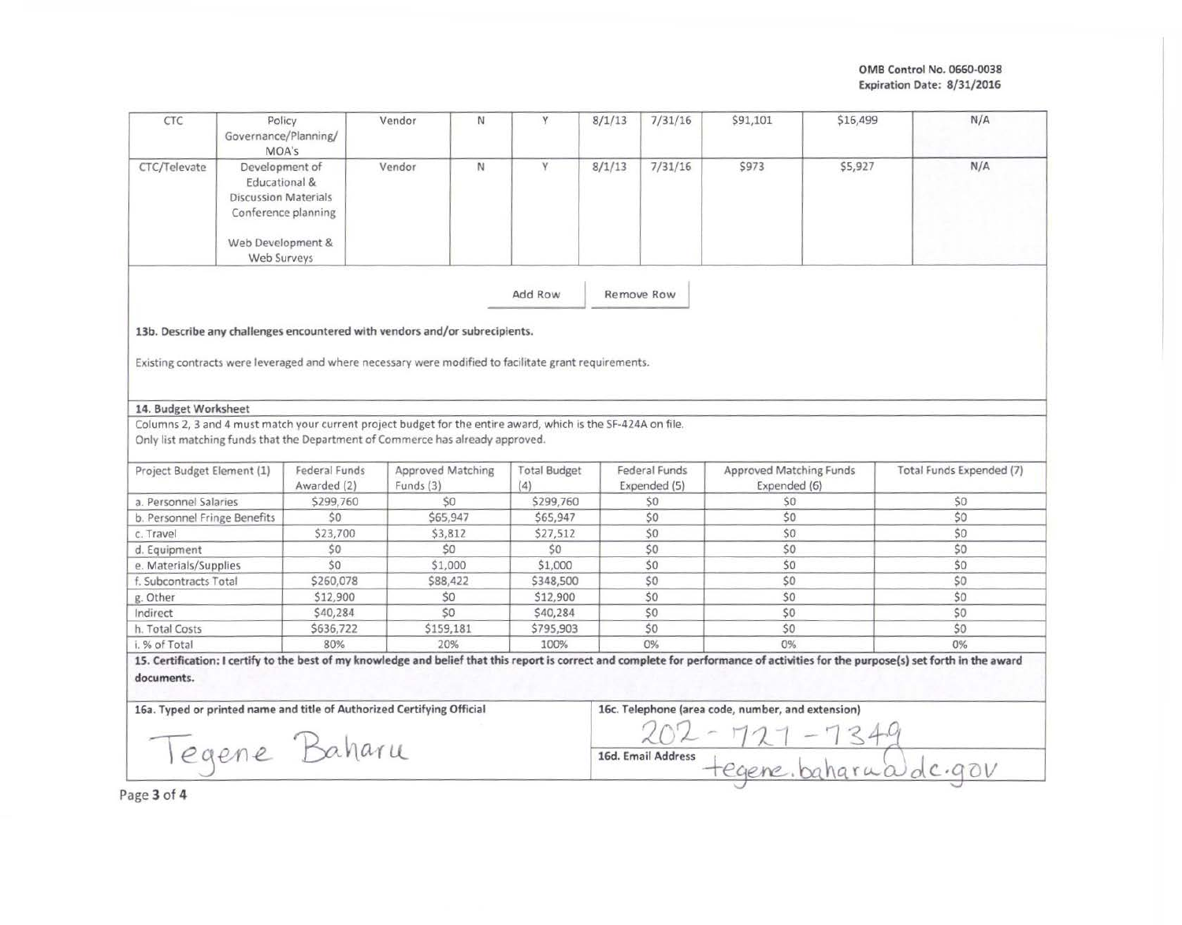OMS Control No. 0660-0038 Expiration Date: 8/31/2016

|                                                                                                                                                                                                                                             | Policy<br>Governance/Planning/<br>MOA's                                               |                              | Vendor<br>N                                                                                                   | Y                          | 8/1/13     | 7/31/16                       | \$91,101                                          | \$16,499 | N/A                                                                                                                                                                                  |
|---------------------------------------------------------------------------------------------------------------------------------------------------------------------------------------------------------------------------------------------|---------------------------------------------------------------------------------------|------------------------------|---------------------------------------------------------------------------------------------------------------|----------------------------|------------|-------------------------------|---------------------------------------------------|----------|--------------------------------------------------------------------------------------------------------------------------------------------------------------------------------------|
| CTC/Televate                                                                                                                                                                                                                                | Development of<br>Educational &<br><b>Discussion Materials</b><br>Conference planning |                              | N<br>Vendor                                                                                                   | Y                          | 8/1/13     | 7/31/16                       | \$973                                             | \$5,927  | N/A                                                                                                                                                                                  |
|                                                                                                                                                                                                                                             | Web Development &<br>Web Surveys                                                      |                              |                                                                                                               |                            |            |                               |                                                   |          |                                                                                                                                                                                      |
|                                                                                                                                                                                                                                             |                                                                                       |                              |                                                                                                               | Add Row                    | Remove Row |                               |                                                   |          |                                                                                                                                                                                      |
|                                                                                                                                                                                                                                             |                                                                                       |                              | 13b. Describe any challenges encountered with vendors and/or subrecipients.                                   |                            |            |                               |                                                   |          |                                                                                                                                                                                      |
|                                                                                                                                                                                                                                             |                                                                                       |                              | Existing contracts were leveraged and where necessary were modified to facilitate grant requirements.         |                            |            |                               |                                                   |          |                                                                                                                                                                                      |
| 14. Budget Worksheet                                                                                                                                                                                                                        |                                                                                       |                              |                                                                                                               |                            |            |                               |                                                   |          |                                                                                                                                                                                      |
|                                                                                                                                                                                                                                             |                                                                                       |                              | Columns 2, 3 and 4 must match your current project budget for the entire award, which is the SF-424A on file. |                            |            |                               |                                                   |          |                                                                                                                                                                                      |
|                                                                                                                                                                                                                                             |                                                                                       |                              | Only list matching funds that the Department of Commerce has already approved.                                |                            |            |                               |                                                   |          |                                                                                                                                                                                      |
|                                                                                                                                                                                                                                             |                                                                                       |                              |                                                                                                               |                            |            |                               |                                                   |          |                                                                                                                                                                                      |
|                                                                                                                                                                                                                                             |                                                                                       | Federal Funds<br>Awarded (2) | <b>Approved Matching</b><br>Funds $(3)$                                                                       | <b>Total Budget</b><br>(4) |            | Federal Funds<br>Expended (5) | Approved Matching Funds<br>Expended (6)           |          | Total Funds Expended (7)                                                                                                                                                             |
|                                                                                                                                                                                                                                             |                                                                                       | \$299,760                    | \$0                                                                                                           | \$299,760                  |            | \$0                           | \$0                                               |          | \$0                                                                                                                                                                                  |
|                                                                                                                                                                                                                                             |                                                                                       | \$0                          | \$65,947                                                                                                      | \$65,947                   |            | \$0                           | \$0                                               |          | \$0                                                                                                                                                                                  |
|                                                                                                                                                                                                                                             |                                                                                       | \$23,700                     | \$3,812                                                                                                       | \$27,512                   |            | \$0                           | \$0                                               |          | \$0                                                                                                                                                                                  |
|                                                                                                                                                                                                                                             |                                                                                       | \$0                          | \$0                                                                                                           | \$0                        |            | \$0                           | \$0                                               |          | \$0                                                                                                                                                                                  |
|                                                                                                                                                                                                                                             |                                                                                       | \$0                          | \$1,000                                                                                                       | \$1,000                    |            | \$0                           | 50                                                |          | \$0                                                                                                                                                                                  |
|                                                                                                                                                                                                                                             |                                                                                       | \$260,078                    | \$88,422                                                                                                      | \$348,500                  |            | \$0                           | \$0                                               |          | \$0                                                                                                                                                                                  |
|                                                                                                                                                                                                                                             |                                                                                       | \$12,900                     | \$0                                                                                                           | \$12,900                   |            | \$0                           | \$0                                               |          | \$0                                                                                                                                                                                  |
|                                                                                                                                                                                                                                             |                                                                                       | \$40,284                     | \$0                                                                                                           | \$40,284                   |            | \$0                           | \$0                                               |          | \$0                                                                                                                                                                                  |
|                                                                                                                                                                                                                                             |                                                                                       | \$636,722                    | \$159,181                                                                                                     | \$795,903                  |            | \$0                           | \$0                                               |          | \$0                                                                                                                                                                                  |
|                                                                                                                                                                                                                                             |                                                                                       | 80%                          | 20%                                                                                                           | 100%                       |            | $0\%$                         | $0\%$                                             |          | $0\%$                                                                                                                                                                                |
|                                                                                                                                                                                                                                             |                                                                                       |                              |                                                                                                               |                            |            |                               |                                                   |          | 15. Certification: I certify to the best of my knowledge and belief that this report is correct and complete for performance of activities for the purpose(s) set forth in the award |
| Project Budget Element (1)<br>a. Personnel Salaries<br>b. Personnel Fringe Benefits<br>c. Travel<br>d. Equipment<br>e. Materials/Supplies<br>f. Subcontracts Total<br>g. Other<br>Indirect<br>h. Total Costs<br>i. % of Total<br>documents. | Tegene Baharu                                                                         |                              | 16a. Typed or printed name and title of Authorized Certifying Official                                        |                            |            | 16d. Email Address            | 16c. Telephone (area code, number, and extension) |          |                                                                                                                                                                                      |

 $P_i$